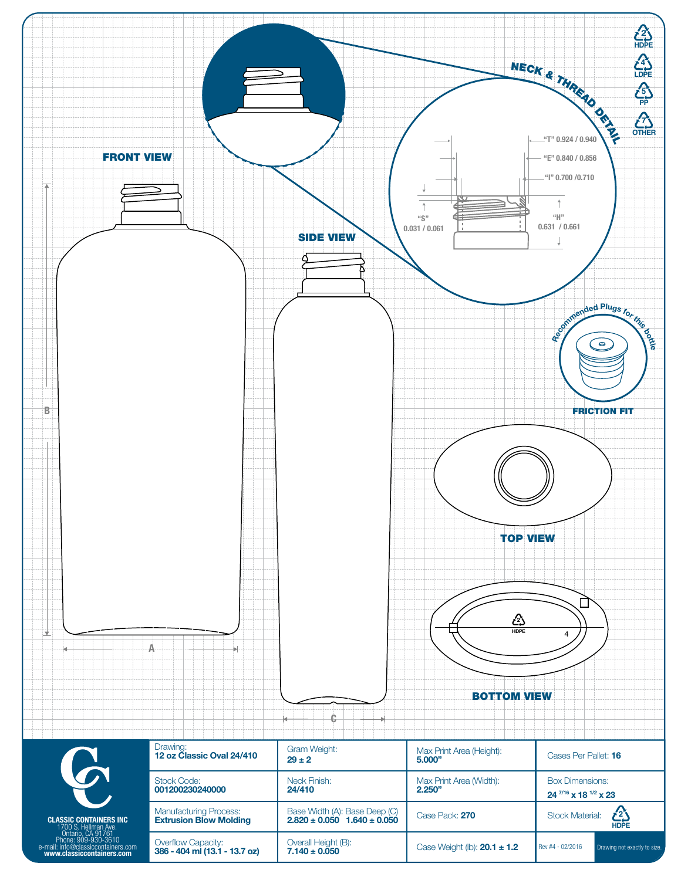